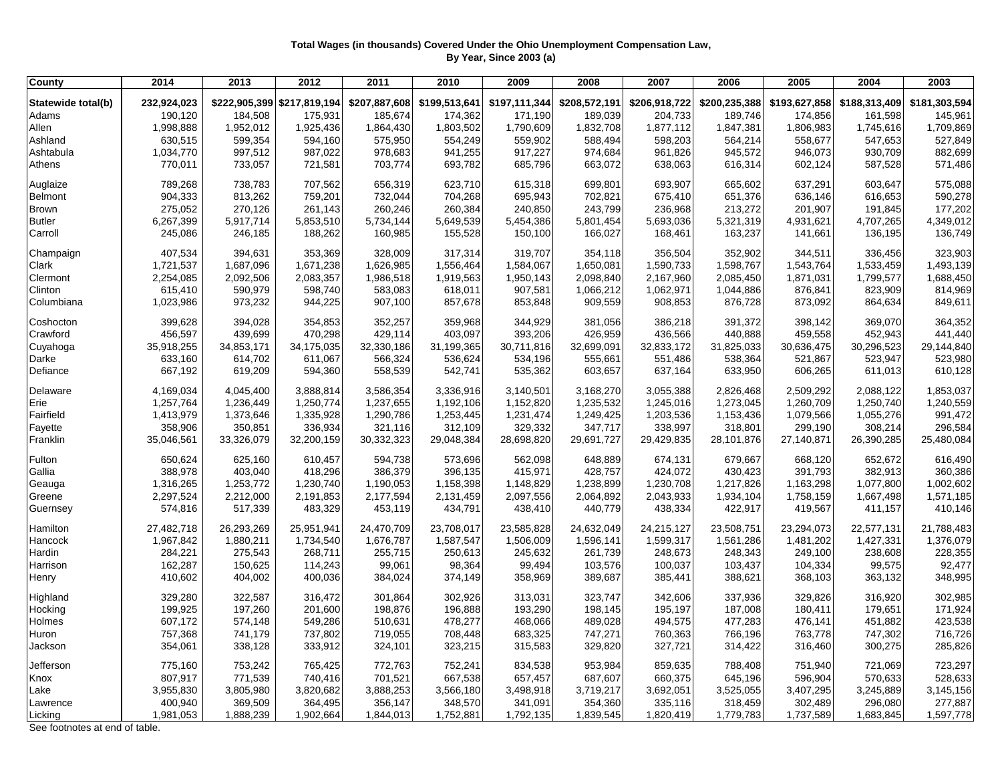## **Total Wages (in thousands) Covered Under the Ohio Unemployment Compensation Law, By Year, Since 2003 (a)**

| 232,924,023<br>\$207,887,608<br>\$199,513,641<br>\$206,918,722<br>\$200,235,388<br>\$193,627,858<br>\$181,303,594<br>Statewide total(b)<br>\$222,905,399 \$217,819,194<br>\$197,111,344<br>\$208,572,191<br>\$188,313,409<br>190,120<br>185,674<br>174,362<br>189,039<br>204,733<br>189,746<br>Adams<br>184,508<br>175,931<br>171,190<br>174,856<br>161,598<br>145,961<br>Allen<br>1,998,888<br>1,952,012<br>1,803,502<br>1,790,609<br>1,832,708<br>1,847,381<br>1,806,983<br>1,709,869<br>1,925,436<br>1,864,430<br>1,877,112<br>1,745,616<br>527,849<br>Ashland<br>630,515<br>599,354<br>575,950<br>554,249<br>559,902<br>588,494<br>598,203<br>564,214<br>558,677<br>547,653<br>594,160<br>Ashtabula<br>997,512<br>987,022<br>978,683<br>941,255<br>917,227<br>974,684<br>945,572<br>930,709<br>882,699<br>1,034,770<br>961,826<br>946,073<br>770,011<br>733,057<br>703,774<br>663,072<br>571,486<br>Athens<br>721,581<br>693,782<br>685,796<br>638,063<br>616,314<br>602,124<br>587,528<br>789,268<br>738,783<br>707,562<br>656,319<br>623,710<br>615,318<br>699,801<br>693,907<br>665,602<br>637,291<br>603,647<br>575,088<br>Auglaize<br>590,278<br>904,333<br>813,262<br>759,201<br>732,044<br>704,268<br>695,943<br>702,821<br>675,410<br>651,376<br>636,146<br>616,653<br>Belmont<br>275,052<br>177,202<br>Brown<br>270,126<br>261,143<br>260,246<br>260,384<br>240,850<br>243,799<br>236,968<br>213,272<br>201,907<br>191,845<br><b>Butler</b><br>6,267,399<br>5,917,714<br>5,853,510<br>5,734,144<br>5,649,539<br>5,454,386<br>5,801,454<br>5,693,036<br>4,931,621<br>4,707,265<br>4,349,012<br>5,321,319<br>245,086<br>188,262<br>166,027<br>136,195<br>136,749<br>Carroll<br>246,185<br>160,985<br>155,528<br>150,100<br>168,461<br>163,237<br>141,661<br>407,534<br>394,631<br>353,369<br>328,009<br>317,314<br>319,707<br>354,118<br>356,504<br>352,902<br>344,511<br>336,456<br>323,903<br>Champaign<br>1,721,537<br>1,493,139<br>Clark<br>1,687,096<br>1,671,238<br>1,626,985<br>1,556,464<br>1,584,067<br>1,650,081<br>1,590,733<br>1,598,767<br>1,543,764<br>1,533,459<br>Clermont<br>2,254,085<br>2,092,506<br>2,083,357<br>1,986,518<br>1,919,563<br>1,950,143<br>2,098,840<br>2,167,960<br>2,085,450<br>1,871,031<br>1,799,577<br>1,688,450<br>Clinton<br>615,410<br>590,979<br>583,083<br>823,909<br>598,740<br>618,011<br>907,581<br>1,066,212<br>1,062,971<br>1,044,886<br>876,841<br>814,969<br>Columbiana<br>1,023,986<br>973,232<br>944,225<br>907,100<br>857,678<br>853,848<br>909,559<br>908,853<br>876,728<br>873,092<br>864,634<br>849,611<br>399,628<br>394,028<br>352,257<br>359,968<br>344,929<br>386,218<br>391,372<br>369,070<br>364,352<br>Coshocton<br>354,853<br>381,056<br>398,142<br>456,597<br>403,097<br>Crawford<br>439,699<br>470,298<br>429,114<br>393,206<br>426,959<br>436,566<br>440,888<br>459,558<br>452,943<br>441,440<br>35,918,255<br>34,853,171<br>31,199,365<br>30,711,816<br>32,699,091<br>32,833,172<br>30,296,523<br>29,144,840<br>Cuyahoga<br>34,175,035<br>32,330,186<br>31,825,033<br>30,636,475<br>633,160<br>614,702<br>566,324<br>534,196<br>555,661<br>551,486<br>538,364<br>523,947<br>523,980<br>Darke<br>611,067<br>536,624<br>521,867<br>Defiance<br>667,192<br>619,209<br>558,539<br>542,741<br>535,362<br>603,657<br>637,164<br>633,950<br>611,013<br>610,128<br>594,360<br>606,265<br>4,169,034<br>4,045,400<br>3,888,814<br>3,586,354<br>3,336,916<br>3,140,501<br>3,168,270<br>3,055,388<br>2,826,468<br>2,509,292<br>2,088,122<br>1,853,037<br>Delaware<br>Erie<br>1,257,764<br>1,236,449<br>1,237,655<br>1,192,106<br>1,152,820<br>1,235,532<br>1,245,016<br>1,273,045<br>1,260,709<br>1,250,740<br>1,240,559<br>1,250,774<br>1,079,566<br>991,472<br>Fairfield<br>1,413,979<br>1,373,646<br>1,335,928<br>1,290,786<br>1,253,445<br>1,231,474<br>1,249,425<br>1,203,536<br>1,153,436<br>1,055,276<br>296,584<br>358,906<br>350,851<br>321,116<br>312,109<br>329,332<br>347,717<br>338,997<br>336,934<br>318,801<br>299,190<br>308,214<br>Fayette<br>Franklin<br>35,046,561<br>33,326,079<br>32,200,159<br>30,332,323<br>29,048,384<br>28,698,820<br>29,691,727<br>29,429,835<br>27,140,871<br>26,390,285<br>25,480,084<br>28,101,876<br>Fulton<br>650,624<br>625,160<br>610,457<br>594,738<br>573,696<br>562,098<br>648,889<br>674,131<br>679,667<br>668,120<br>652,672<br>616,490<br>388,978<br>403,040<br>418,296<br>386,379<br>415,971<br>428,757<br>424,072<br>430,423<br>391,793<br>382,913<br>360,386<br>Gallia<br>396,135<br>1,316,265<br>1,253,772<br>1,230,740<br>1,158,398<br>1,148,829<br>1,238,899<br>1,230,708<br>1,217,826<br>1,077,800<br>1,002,602<br>Geauga<br>1,190,053<br>1,163,298<br>Greene<br>2,297,524<br>2,212,000<br>2,191,853<br>2,177,594<br>2,131,459<br>2,097,556<br>2,064,892<br>2,043,933<br>1,934,104<br>1,758,159<br>1,667,498<br>1,571,185<br>574,816<br>517,339<br>483,329<br>453,119<br>434,791<br>438,410<br>440,779<br>438,334<br>422,917<br>419,567<br>411,157<br>410,146<br>Guernsey<br>27,482,718<br>26,293,269<br>25,951,941<br>24,470,709<br>23,708,017<br>23,585,828<br>24,632,049<br>24,215,127<br>23,508,751<br>23,294,073<br>22,577,131<br>21,788,483<br>Hamilton<br>1,587,547<br>1,376,079<br>Hancock<br>1,967,842<br>1,880,211<br>1,734,540<br>1,676,787<br>1,506,009<br>1,596,141<br>1,599,317<br>1,561,286<br>1,481,202<br>1,427,331<br>284,221<br>275,543<br>255,715<br>250,613<br>245,632<br>261,739<br>248,673<br>248,343<br>238,608<br>228,355<br>Hardin<br>268,711<br>249,100<br>162,287<br>150,625<br>99,061<br>103,576<br>100,037<br>99,575<br>92,477<br>Harrison<br>114,243<br>98,364<br>99,494<br>103,437<br>104,334<br>410,602<br>348,995<br>404,002<br>400,036<br>384,024<br>374,149<br>358,969<br>389,687<br>385,441<br>388,621<br>368,103<br>363,132<br>Henry<br>329,280<br>322,587<br>323,747<br>Highland<br>316,472<br>301,864<br>302,926<br>313,031<br>342,606<br>337,936<br>329,826<br>316,920<br>302,985<br>199,925<br>Hocking<br>197,260<br>201,600<br>198,876<br>196,888<br>193,290<br>198,145<br>195,197<br>187,008<br>180,411<br>179,651<br>171,924<br>607,172<br>478,277<br>489,028<br>494,575<br>477,283<br>423,538<br>Holmes<br>574,148<br>549,286<br>510,631<br>468,066<br>476,141<br>451,882<br>757,368<br>741,179<br>737,802<br>719,055<br>708,448<br>683,325<br>747,271<br>760,363<br>766,196<br>747,302<br>716,726<br>Huron<br>763,778<br>354,061<br>285,826<br>Jackson<br>338,128<br>333,912<br>324,101<br>323,215<br>315,583<br>329,820<br>327,721<br>314,422<br>300,275<br>316,460<br>775,160<br>753,242<br>752,241<br>953,984<br>859,635<br>723,297<br>Jefferson<br>765,425<br>772,763<br>834,538<br>788,408<br>751,940<br>721,069<br>807,917<br>528,633<br>771,539<br>740,416<br>701,521<br>667,538<br>657,457<br>687,607<br>660,375<br>596,904<br>570,633<br>Knox<br>645,196<br>3,245,889<br>Lake<br>3,955,830<br>3,805,980<br>3,820,682<br>3,888,253<br>3,566,180<br>3,498,918<br>3,719,217<br>3,692,051<br>3,525,055<br>3,407,295<br>3,145,156<br>400,940<br>369,509<br>364,495<br>356,147<br>348,570<br>341,091<br>354,360<br>335,116<br>296,080<br>277,887<br>Lawrence<br>318,459<br>302,489<br>1,981,053<br>1,888,239<br>1,902,664<br>1,752,881<br>1,792,135<br>1,839,545<br>1,820,419<br>1,779,783<br>1,737,589<br>1,597,778<br>Licking<br>1,844,013<br>1,683,845<br>Soo footpotos at and of table | <b>County</b> | 2014 | 2013 | 2012 | 2011 | 2010 | 2009 | 2008 | 2007 | 2006 | 2005 | 2004 | 2003 |
|-------------------------------------------------------------------------------------------------------------------------------------------------------------------------------------------------------------------------------------------------------------------------------------------------------------------------------------------------------------------------------------------------------------------------------------------------------------------------------------------------------------------------------------------------------------------------------------------------------------------------------------------------------------------------------------------------------------------------------------------------------------------------------------------------------------------------------------------------------------------------------------------------------------------------------------------------------------------------------------------------------------------------------------------------------------------------------------------------------------------------------------------------------------------------------------------------------------------------------------------------------------------------------------------------------------------------------------------------------------------------------------------------------------------------------------------------------------------------------------------------------------------------------------------------------------------------------------------------------------------------------------------------------------------------------------------------------------------------------------------------------------------------------------------------------------------------------------------------------------------------------------------------------------------------------------------------------------------------------------------------------------------------------------------------------------------------------------------------------------------------------------------------------------------------------------------------------------------------------------------------------------------------------------------------------------------------------------------------------------------------------------------------------------------------------------------------------------------------------------------------------------------------------------------------------------------------------------------------------------------------------------------------------------------------------------------------------------------------------------------------------------------------------------------------------------------------------------------------------------------------------------------------------------------------------------------------------------------------------------------------------------------------------------------------------------------------------------------------------------------------------------------------------------------------------------------------------------------------------------------------------------------------------------------------------------------------------------------------------------------------------------------------------------------------------------------------------------------------------------------------------------------------------------------------------------------------------------------------------------------------------------------------------------------------------------------------------------------------------------------------------------------------------------------------------------------------------------------------------------------------------------------------------------------------------------------------------------------------------------------------------------------------------------------------------------------------------------------------------------------------------------------------------------------------------------------------------------------------------------------------------------------------------------------------------------------------------------------------------------------------------------------------------------------------------------------------------------------------------------------------------------------------------------------------------------------------------------------------------------------------------------------------------------------------------------------------------------------------------------------------------------------------------------------------------------------------------------------------------------------------------------------------------------------------------------------------------------------------------------------------------------------------------------------------------------------------------------------------------------------------------------------------------------------------------------------------------------------------------------------------------------------------------------------------------------------------------------------------------------------------------------------------------------------------------------------------------------------------------------------------------------------------------------------------------------------------------------------------------------------------------------------------------------------------------------------------------------------------------------------------------------------------------------------------------------------------------------------------------------------------------------------------------------------------------------------------------------------------------------------------------------------------------------------------------------------------------------------------------------------------------------------------------------------------------------------------------------------------------------------------------------------------------------------------------------------------------------------------------------------------------------------------------------------------------------------------------------------------------------------------------------------------------------------------------------------------------------------------------------------------------------------------------------------------------------------------------------------------------------------------------------------------------------------------------------------------------------------------------------------------------------------------------------------------------------------------------------------------------------------------------------------------------------------------------------------------------------------------------------------------------------------------------------------------------------------------------------------------------------------------------------------------------------------------------------------------------------------------------------------------------|---------------|------|------|------|------|------|------|------|------|------|------|------|------|
|                                                                                                                                                                                                                                                                                                                                                                                                                                                                                                                                                                                                                                                                                                                                                                                                                                                                                                                                                                                                                                                                                                                                                                                                                                                                                                                                                                                                                                                                                                                                                                                                                                                                                                                                                                                                                                                                                                                                                                                                                                                                                                                                                                                                                                                                                                                                                                                                                                                                                                                                                                                                                                                                                                                                                                                                                                                                                                                                                                                                                                                                                                                                                                                                                                                                                                                                                                                                                                                                                                                                                                                                                                                                                                                                                                                                                                                                                                                                                                                                                                                                                                                                                                                                                                                                                                                                                                                                                                                                                                                                                                                                                                                                                                                                                                                                                                                                                                                                                                                                                                                                                                                                                                                                                                                                                                                                                                                                                                                                                                                                                                                                                                                                                                                                                                                                                                                                                                                                                                                                                                                                                                                                                                                                                                                                                                                                                                                                                                                                                                                                                                                                                                                                                                                                                                                                                                                                                                                                                                                                                                                                                                                                                                                                                                                                                                                                                                               |               |      |      |      |      |      |      |      |      |      |      |      |      |
|                                                                                                                                                                                                                                                                                                                                                                                                                                                                                                                                                                                                                                                                                                                                                                                                                                                                                                                                                                                                                                                                                                                                                                                                                                                                                                                                                                                                                                                                                                                                                                                                                                                                                                                                                                                                                                                                                                                                                                                                                                                                                                                                                                                                                                                                                                                                                                                                                                                                                                                                                                                                                                                                                                                                                                                                                                                                                                                                                                                                                                                                                                                                                                                                                                                                                                                                                                                                                                                                                                                                                                                                                                                                                                                                                                                                                                                                                                                                                                                                                                                                                                                                                                                                                                                                                                                                                                                                                                                                                                                                                                                                                                                                                                                                                                                                                                                                                                                                                                                                                                                                                                                                                                                                                                                                                                                                                                                                                                                                                                                                                                                                                                                                                                                                                                                                                                                                                                                                                                                                                                                                                                                                                                                                                                                                                                                                                                                                                                                                                                                                                                                                                                                                                                                                                                                                                                                                                                                                                                                                                                                                                                                                                                                                                                                                                                                                                                               |               |      |      |      |      |      |      |      |      |      |      |      |      |
|                                                                                                                                                                                                                                                                                                                                                                                                                                                                                                                                                                                                                                                                                                                                                                                                                                                                                                                                                                                                                                                                                                                                                                                                                                                                                                                                                                                                                                                                                                                                                                                                                                                                                                                                                                                                                                                                                                                                                                                                                                                                                                                                                                                                                                                                                                                                                                                                                                                                                                                                                                                                                                                                                                                                                                                                                                                                                                                                                                                                                                                                                                                                                                                                                                                                                                                                                                                                                                                                                                                                                                                                                                                                                                                                                                                                                                                                                                                                                                                                                                                                                                                                                                                                                                                                                                                                                                                                                                                                                                                                                                                                                                                                                                                                                                                                                                                                                                                                                                                                                                                                                                                                                                                                                                                                                                                                                                                                                                                                                                                                                                                                                                                                                                                                                                                                                                                                                                                                                                                                                                                                                                                                                                                                                                                                                                                                                                                                                                                                                                                                                                                                                                                                                                                                                                                                                                                                                                                                                                                                                                                                                                                                                                                                                                                                                                                                                                               |               |      |      |      |      |      |      |      |      |      |      |      |      |
|                                                                                                                                                                                                                                                                                                                                                                                                                                                                                                                                                                                                                                                                                                                                                                                                                                                                                                                                                                                                                                                                                                                                                                                                                                                                                                                                                                                                                                                                                                                                                                                                                                                                                                                                                                                                                                                                                                                                                                                                                                                                                                                                                                                                                                                                                                                                                                                                                                                                                                                                                                                                                                                                                                                                                                                                                                                                                                                                                                                                                                                                                                                                                                                                                                                                                                                                                                                                                                                                                                                                                                                                                                                                                                                                                                                                                                                                                                                                                                                                                                                                                                                                                                                                                                                                                                                                                                                                                                                                                                                                                                                                                                                                                                                                                                                                                                                                                                                                                                                                                                                                                                                                                                                                                                                                                                                                                                                                                                                                                                                                                                                                                                                                                                                                                                                                                                                                                                                                                                                                                                                                                                                                                                                                                                                                                                                                                                                                                                                                                                                                                                                                                                                                                                                                                                                                                                                                                                                                                                                                                                                                                                                                                                                                                                                                                                                                                                               |               |      |      |      |      |      |      |      |      |      |      |      |      |
|                                                                                                                                                                                                                                                                                                                                                                                                                                                                                                                                                                                                                                                                                                                                                                                                                                                                                                                                                                                                                                                                                                                                                                                                                                                                                                                                                                                                                                                                                                                                                                                                                                                                                                                                                                                                                                                                                                                                                                                                                                                                                                                                                                                                                                                                                                                                                                                                                                                                                                                                                                                                                                                                                                                                                                                                                                                                                                                                                                                                                                                                                                                                                                                                                                                                                                                                                                                                                                                                                                                                                                                                                                                                                                                                                                                                                                                                                                                                                                                                                                                                                                                                                                                                                                                                                                                                                                                                                                                                                                                                                                                                                                                                                                                                                                                                                                                                                                                                                                                                                                                                                                                                                                                                                                                                                                                                                                                                                                                                                                                                                                                                                                                                                                                                                                                                                                                                                                                                                                                                                                                                                                                                                                                                                                                                                                                                                                                                                                                                                                                                                                                                                                                                                                                                                                                                                                                                                                                                                                                                                                                                                                                                                                                                                                                                                                                                                                               |               |      |      |      |      |      |      |      |      |      |      |      |      |
|                                                                                                                                                                                                                                                                                                                                                                                                                                                                                                                                                                                                                                                                                                                                                                                                                                                                                                                                                                                                                                                                                                                                                                                                                                                                                                                                                                                                                                                                                                                                                                                                                                                                                                                                                                                                                                                                                                                                                                                                                                                                                                                                                                                                                                                                                                                                                                                                                                                                                                                                                                                                                                                                                                                                                                                                                                                                                                                                                                                                                                                                                                                                                                                                                                                                                                                                                                                                                                                                                                                                                                                                                                                                                                                                                                                                                                                                                                                                                                                                                                                                                                                                                                                                                                                                                                                                                                                                                                                                                                                                                                                                                                                                                                                                                                                                                                                                                                                                                                                                                                                                                                                                                                                                                                                                                                                                                                                                                                                                                                                                                                                                                                                                                                                                                                                                                                                                                                                                                                                                                                                                                                                                                                                                                                                                                                                                                                                                                                                                                                                                                                                                                                                                                                                                                                                                                                                                                                                                                                                                                                                                                                                                                                                                                                                                                                                                                                               |               |      |      |      |      |      |      |      |      |      |      |      |      |
|                                                                                                                                                                                                                                                                                                                                                                                                                                                                                                                                                                                                                                                                                                                                                                                                                                                                                                                                                                                                                                                                                                                                                                                                                                                                                                                                                                                                                                                                                                                                                                                                                                                                                                                                                                                                                                                                                                                                                                                                                                                                                                                                                                                                                                                                                                                                                                                                                                                                                                                                                                                                                                                                                                                                                                                                                                                                                                                                                                                                                                                                                                                                                                                                                                                                                                                                                                                                                                                                                                                                                                                                                                                                                                                                                                                                                                                                                                                                                                                                                                                                                                                                                                                                                                                                                                                                                                                                                                                                                                                                                                                                                                                                                                                                                                                                                                                                                                                                                                                                                                                                                                                                                                                                                                                                                                                                                                                                                                                                                                                                                                                                                                                                                                                                                                                                                                                                                                                                                                                                                                                                                                                                                                                                                                                                                                                                                                                                                                                                                                                                                                                                                                                                                                                                                                                                                                                                                                                                                                                                                                                                                                                                                                                                                                                                                                                                                                               |               |      |      |      |      |      |      |      |      |      |      |      |      |
|                                                                                                                                                                                                                                                                                                                                                                                                                                                                                                                                                                                                                                                                                                                                                                                                                                                                                                                                                                                                                                                                                                                                                                                                                                                                                                                                                                                                                                                                                                                                                                                                                                                                                                                                                                                                                                                                                                                                                                                                                                                                                                                                                                                                                                                                                                                                                                                                                                                                                                                                                                                                                                                                                                                                                                                                                                                                                                                                                                                                                                                                                                                                                                                                                                                                                                                                                                                                                                                                                                                                                                                                                                                                                                                                                                                                                                                                                                                                                                                                                                                                                                                                                                                                                                                                                                                                                                                                                                                                                                                                                                                                                                                                                                                                                                                                                                                                                                                                                                                                                                                                                                                                                                                                                                                                                                                                                                                                                                                                                                                                                                                                                                                                                                                                                                                                                                                                                                                                                                                                                                                                                                                                                                                                                                                                                                                                                                                                                                                                                                                                                                                                                                                                                                                                                                                                                                                                                                                                                                                                                                                                                                                                                                                                                                                                                                                                                                               |               |      |      |      |      |      |      |      |      |      |      |      |      |
|                                                                                                                                                                                                                                                                                                                                                                                                                                                                                                                                                                                                                                                                                                                                                                                                                                                                                                                                                                                                                                                                                                                                                                                                                                                                                                                                                                                                                                                                                                                                                                                                                                                                                                                                                                                                                                                                                                                                                                                                                                                                                                                                                                                                                                                                                                                                                                                                                                                                                                                                                                                                                                                                                                                                                                                                                                                                                                                                                                                                                                                                                                                                                                                                                                                                                                                                                                                                                                                                                                                                                                                                                                                                                                                                                                                                                                                                                                                                                                                                                                                                                                                                                                                                                                                                                                                                                                                                                                                                                                                                                                                                                                                                                                                                                                                                                                                                                                                                                                                                                                                                                                                                                                                                                                                                                                                                                                                                                                                                                                                                                                                                                                                                                                                                                                                                                                                                                                                                                                                                                                                                                                                                                                                                                                                                                                                                                                                                                                                                                                                                                                                                                                                                                                                                                                                                                                                                                                                                                                                                                                                                                                                                                                                                                                                                                                                                                                               |               |      |      |      |      |      |      |      |      |      |      |      |      |
|                                                                                                                                                                                                                                                                                                                                                                                                                                                                                                                                                                                                                                                                                                                                                                                                                                                                                                                                                                                                                                                                                                                                                                                                                                                                                                                                                                                                                                                                                                                                                                                                                                                                                                                                                                                                                                                                                                                                                                                                                                                                                                                                                                                                                                                                                                                                                                                                                                                                                                                                                                                                                                                                                                                                                                                                                                                                                                                                                                                                                                                                                                                                                                                                                                                                                                                                                                                                                                                                                                                                                                                                                                                                                                                                                                                                                                                                                                                                                                                                                                                                                                                                                                                                                                                                                                                                                                                                                                                                                                                                                                                                                                                                                                                                                                                                                                                                                                                                                                                                                                                                                                                                                                                                                                                                                                                                                                                                                                                                                                                                                                                                                                                                                                                                                                                                                                                                                                                                                                                                                                                                                                                                                                                                                                                                                                                                                                                                                                                                                                                                                                                                                                                                                                                                                                                                                                                                                                                                                                                                                                                                                                                                                                                                                                                                                                                                                                               |               |      |      |      |      |      |      |      |      |      |      |      |      |
|                                                                                                                                                                                                                                                                                                                                                                                                                                                                                                                                                                                                                                                                                                                                                                                                                                                                                                                                                                                                                                                                                                                                                                                                                                                                                                                                                                                                                                                                                                                                                                                                                                                                                                                                                                                                                                                                                                                                                                                                                                                                                                                                                                                                                                                                                                                                                                                                                                                                                                                                                                                                                                                                                                                                                                                                                                                                                                                                                                                                                                                                                                                                                                                                                                                                                                                                                                                                                                                                                                                                                                                                                                                                                                                                                                                                                                                                                                                                                                                                                                                                                                                                                                                                                                                                                                                                                                                                                                                                                                                                                                                                                                                                                                                                                                                                                                                                                                                                                                                                                                                                                                                                                                                                                                                                                                                                                                                                                                                                                                                                                                                                                                                                                                                                                                                                                                                                                                                                                                                                                                                                                                                                                                                                                                                                                                                                                                                                                                                                                                                                                                                                                                                                                                                                                                                                                                                                                                                                                                                                                                                                                                                                                                                                                                                                                                                                                                               |               |      |      |      |      |      |      |      |      |      |      |      |      |
|                                                                                                                                                                                                                                                                                                                                                                                                                                                                                                                                                                                                                                                                                                                                                                                                                                                                                                                                                                                                                                                                                                                                                                                                                                                                                                                                                                                                                                                                                                                                                                                                                                                                                                                                                                                                                                                                                                                                                                                                                                                                                                                                                                                                                                                                                                                                                                                                                                                                                                                                                                                                                                                                                                                                                                                                                                                                                                                                                                                                                                                                                                                                                                                                                                                                                                                                                                                                                                                                                                                                                                                                                                                                                                                                                                                                                                                                                                                                                                                                                                                                                                                                                                                                                                                                                                                                                                                                                                                                                                                                                                                                                                                                                                                                                                                                                                                                                                                                                                                                                                                                                                                                                                                                                                                                                                                                                                                                                                                                                                                                                                                                                                                                                                                                                                                                                                                                                                                                                                                                                                                                                                                                                                                                                                                                                                                                                                                                                                                                                                                                                                                                                                                                                                                                                                                                                                                                                                                                                                                                                                                                                                                                                                                                                                                                                                                                                                               |               |      |      |      |      |      |      |      |      |      |      |      |      |
|                                                                                                                                                                                                                                                                                                                                                                                                                                                                                                                                                                                                                                                                                                                                                                                                                                                                                                                                                                                                                                                                                                                                                                                                                                                                                                                                                                                                                                                                                                                                                                                                                                                                                                                                                                                                                                                                                                                                                                                                                                                                                                                                                                                                                                                                                                                                                                                                                                                                                                                                                                                                                                                                                                                                                                                                                                                                                                                                                                                                                                                                                                                                                                                                                                                                                                                                                                                                                                                                                                                                                                                                                                                                                                                                                                                                                                                                                                                                                                                                                                                                                                                                                                                                                                                                                                                                                                                                                                                                                                                                                                                                                                                                                                                                                                                                                                                                                                                                                                                                                                                                                                                                                                                                                                                                                                                                                                                                                                                                                                                                                                                                                                                                                                                                                                                                                                                                                                                                                                                                                                                                                                                                                                                                                                                                                                                                                                                                                                                                                                                                                                                                                                                                                                                                                                                                                                                                                                                                                                                                                                                                                                                                                                                                                                                                                                                                                                               |               |      |      |      |      |      |      |      |      |      |      |      |      |
|                                                                                                                                                                                                                                                                                                                                                                                                                                                                                                                                                                                                                                                                                                                                                                                                                                                                                                                                                                                                                                                                                                                                                                                                                                                                                                                                                                                                                                                                                                                                                                                                                                                                                                                                                                                                                                                                                                                                                                                                                                                                                                                                                                                                                                                                                                                                                                                                                                                                                                                                                                                                                                                                                                                                                                                                                                                                                                                                                                                                                                                                                                                                                                                                                                                                                                                                                                                                                                                                                                                                                                                                                                                                                                                                                                                                                                                                                                                                                                                                                                                                                                                                                                                                                                                                                                                                                                                                                                                                                                                                                                                                                                                                                                                                                                                                                                                                                                                                                                                                                                                                                                                                                                                                                                                                                                                                                                                                                                                                                                                                                                                                                                                                                                                                                                                                                                                                                                                                                                                                                                                                                                                                                                                                                                                                                                                                                                                                                                                                                                                                                                                                                                                                                                                                                                                                                                                                                                                                                                                                                                                                                                                                                                                                                                                                                                                                                                               |               |      |      |      |      |      |      |      |      |      |      |      |      |
|                                                                                                                                                                                                                                                                                                                                                                                                                                                                                                                                                                                                                                                                                                                                                                                                                                                                                                                                                                                                                                                                                                                                                                                                                                                                                                                                                                                                                                                                                                                                                                                                                                                                                                                                                                                                                                                                                                                                                                                                                                                                                                                                                                                                                                                                                                                                                                                                                                                                                                                                                                                                                                                                                                                                                                                                                                                                                                                                                                                                                                                                                                                                                                                                                                                                                                                                                                                                                                                                                                                                                                                                                                                                                                                                                                                                                                                                                                                                                                                                                                                                                                                                                                                                                                                                                                                                                                                                                                                                                                                                                                                                                                                                                                                                                                                                                                                                                                                                                                                                                                                                                                                                                                                                                                                                                                                                                                                                                                                                                                                                                                                                                                                                                                                                                                                                                                                                                                                                                                                                                                                                                                                                                                                                                                                                                                                                                                                                                                                                                                                                                                                                                                                                                                                                                                                                                                                                                                                                                                                                                                                                                                                                                                                                                                                                                                                                                                               |               |      |      |      |      |      |      |      |      |      |      |      |      |
|                                                                                                                                                                                                                                                                                                                                                                                                                                                                                                                                                                                                                                                                                                                                                                                                                                                                                                                                                                                                                                                                                                                                                                                                                                                                                                                                                                                                                                                                                                                                                                                                                                                                                                                                                                                                                                                                                                                                                                                                                                                                                                                                                                                                                                                                                                                                                                                                                                                                                                                                                                                                                                                                                                                                                                                                                                                                                                                                                                                                                                                                                                                                                                                                                                                                                                                                                                                                                                                                                                                                                                                                                                                                                                                                                                                                                                                                                                                                                                                                                                                                                                                                                                                                                                                                                                                                                                                                                                                                                                                                                                                                                                                                                                                                                                                                                                                                                                                                                                                                                                                                                                                                                                                                                                                                                                                                                                                                                                                                                                                                                                                                                                                                                                                                                                                                                                                                                                                                                                                                                                                                                                                                                                                                                                                                                                                                                                                                                                                                                                                                                                                                                                                                                                                                                                                                                                                                                                                                                                                                                                                                                                                                                                                                                                                                                                                                                                               |               |      |      |      |      |      |      |      |      |      |      |      |      |
|                                                                                                                                                                                                                                                                                                                                                                                                                                                                                                                                                                                                                                                                                                                                                                                                                                                                                                                                                                                                                                                                                                                                                                                                                                                                                                                                                                                                                                                                                                                                                                                                                                                                                                                                                                                                                                                                                                                                                                                                                                                                                                                                                                                                                                                                                                                                                                                                                                                                                                                                                                                                                                                                                                                                                                                                                                                                                                                                                                                                                                                                                                                                                                                                                                                                                                                                                                                                                                                                                                                                                                                                                                                                                                                                                                                                                                                                                                                                                                                                                                                                                                                                                                                                                                                                                                                                                                                                                                                                                                                                                                                                                                                                                                                                                                                                                                                                                                                                                                                                                                                                                                                                                                                                                                                                                                                                                                                                                                                                                                                                                                                                                                                                                                                                                                                                                                                                                                                                                                                                                                                                                                                                                                                                                                                                                                                                                                                                                                                                                                                                                                                                                                                                                                                                                                                                                                                                                                                                                                                                                                                                                                                                                                                                                                                                                                                                                                               |               |      |      |      |      |      |      |      |      |      |      |      |      |
|                                                                                                                                                                                                                                                                                                                                                                                                                                                                                                                                                                                                                                                                                                                                                                                                                                                                                                                                                                                                                                                                                                                                                                                                                                                                                                                                                                                                                                                                                                                                                                                                                                                                                                                                                                                                                                                                                                                                                                                                                                                                                                                                                                                                                                                                                                                                                                                                                                                                                                                                                                                                                                                                                                                                                                                                                                                                                                                                                                                                                                                                                                                                                                                                                                                                                                                                                                                                                                                                                                                                                                                                                                                                                                                                                                                                                                                                                                                                                                                                                                                                                                                                                                                                                                                                                                                                                                                                                                                                                                                                                                                                                                                                                                                                                                                                                                                                                                                                                                                                                                                                                                                                                                                                                                                                                                                                                                                                                                                                                                                                                                                                                                                                                                                                                                                                                                                                                                                                                                                                                                                                                                                                                                                                                                                                                                                                                                                                                                                                                                                                                                                                                                                                                                                                                                                                                                                                                                                                                                                                                                                                                                                                                                                                                                                                                                                                                                               |               |      |      |      |      |      |      |      |      |      |      |      |      |
|                                                                                                                                                                                                                                                                                                                                                                                                                                                                                                                                                                                                                                                                                                                                                                                                                                                                                                                                                                                                                                                                                                                                                                                                                                                                                                                                                                                                                                                                                                                                                                                                                                                                                                                                                                                                                                                                                                                                                                                                                                                                                                                                                                                                                                                                                                                                                                                                                                                                                                                                                                                                                                                                                                                                                                                                                                                                                                                                                                                                                                                                                                                                                                                                                                                                                                                                                                                                                                                                                                                                                                                                                                                                                                                                                                                                                                                                                                                                                                                                                                                                                                                                                                                                                                                                                                                                                                                                                                                                                                                                                                                                                                                                                                                                                                                                                                                                                                                                                                                                                                                                                                                                                                                                                                                                                                                                                                                                                                                                                                                                                                                                                                                                                                                                                                                                                                                                                                                                                                                                                                                                                                                                                                                                                                                                                                                                                                                                                                                                                                                                                                                                                                                                                                                                                                                                                                                                                                                                                                                                                                                                                                                                                                                                                                                                                                                                                                               |               |      |      |      |      |      |      |      |      |      |      |      |      |
|                                                                                                                                                                                                                                                                                                                                                                                                                                                                                                                                                                                                                                                                                                                                                                                                                                                                                                                                                                                                                                                                                                                                                                                                                                                                                                                                                                                                                                                                                                                                                                                                                                                                                                                                                                                                                                                                                                                                                                                                                                                                                                                                                                                                                                                                                                                                                                                                                                                                                                                                                                                                                                                                                                                                                                                                                                                                                                                                                                                                                                                                                                                                                                                                                                                                                                                                                                                                                                                                                                                                                                                                                                                                                                                                                                                                                                                                                                                                                                                                                                                                                                                                                                                                                                                                                                                                                                                                                                                                                                                                                                                                                                                                                                                                                                                                                                                                                                                                                                                                                                                                                                                                                                                                                                                                                                                                                                                                                                                                                                                                                                                                                                                                                                                                                                                                                                                                                                                                                                                                                                                                                                                                                                                                                                                                                                                                                                                                                                                                                                                                                                                                                                                                                                                                                                                                                                                                                                                                                                                                                                                                                                                                                                                                                                                                                                                                                                               |               |      |      |      |      |      |      |      |      |      |      |      |      |
|                                                                                                                                                                                                                                                                                                                                                                                                                                                                                                                                                                                                                                                                                                                                                                                                                                                                                                                                                                                                                                                                                                                                                                                                                                                                                                                                                                                                                                                                                                                                                                                                                                                                                                                                                                                                                                                                                                                                                                                                                                                                                                                                                                                                                                                                                                                                                                                                                                                                                                                                                                                                                                                                                                                                                                                                                                                                                                                                                                                                                                                                                                                                                                                                                                                                                                                                                                                                                                                                                                                                                                                                                                                                                                                                                                                                                                                                                                                                                                                                                                                                                                                                                                                                                                                                                                                                                                                                                                                                                                                                                                                                                                                                                                                                                                                                                                                                                                                                                                                                                                                                                                                                                                                                                                                                                                                                                                                                                                                                                                                                                                                                                                                                                                                                                                                                                                                                                                                                                                                                                                                                                                                                                                                                                                                                                                                                                                                                                                                                                                                                                                                                                                                                                                                                                                                                                                                                                                                                                                                                                                                                                                                                                                                                                                                                                                                                                                               |               |      |      |      |      |      |      |      |      |      |      |      |      |
|                                                                                                                                                                                                                                                                                                                                                                                                                                                                                                                                                                                                                                                                                                                                                                                                                                                                                                                                                                                                                                                                                                                                                                                                                                                                                                                                                                                                                                                                                                                                                                                                                                                                                                                                                                                                                                                                                                                                                                                                                                                                                                                                                                                                                                                                                                                                                                                                                                                                                                                                                                                                                                                                                                                                                                                                                                                                                                                                                                                                                                                                                                                                                                                                                                                                                                                                                                                                                                                                                                                                                                                                                                                                                                                                                                                                                                                                                                                                                                                                                                                                                                                                                                                                                                                                                                                                                                                                                                                                                                                                                                                                                                                                                                                                                                                                                                                                                                                                                                                                                                                                                                                                                                                                                                                                                                                                                                                                                                                                                                                                                                                                                                                                                                                                                                                                                                                                                                                                                                                                                                                                                                                                                                                                                                                                                                                                                                                                                                                                                                                                                                                                                                                                                                                                                                                                                                                                                                                                                                                                                                                                                                                                                                                                                                                                                                                                                                               |               |      |      |      |      |      |      |      |      |      |      |      |      |
|                                                                                                                                                                                                                                                                                                                                                                                                                                                                                                                                                                                                                                                                                                                                                                                                                                                                                                                                                                                                                                                                                                                                                                                                                                                                                                                                                                                                                                                                                                                                                                                                                                                                                                                                                                                                                                                                                                                                                                                                                                                                                                                                                                                                                                                                                                                                                                                                                                                                                                                                                                                                                                                                                                                                                                                                                                                                                                                                                                                                                                                                                                                                                                                                                                                                                                                                                                                                                                                                                                                                                                                                                                                                                                                                                                                                                                                                                                                                                                                                                                                                                                                                                                                                                                                                                                                                                                                                                                                                                                                                                                                                                                                                                                                                                                                                                                                                                                                                                                                                                                                                                                                                                                                                                                                                                                                                                                                                                                                                                                                                                                                                                                                                                                                                                                                                                                                                                                                                                                                                                                                                                                                                                                                                                                                                                                                                                                                                                                                                                                                                                                                                                                                                                                                                                                                                                                                                                                                                                                                                                                                                                                                                                                                                                                                                                                                                                                               |               |      |      |      |      |      |      |      |      |      |      |      |      |
|                                                                                                                                                                                                                                                                                                                                                                                                                                                                                                                                                                                                                                                                                                                                                                                                                                                                                                                                                                                                                                                                                                                                                                                                                                                                                                                                                                                                                                                                                                                                                                                                                                                                                                                                                                                                                                                                                                                                                                                                                                                                                                                                                                                                                                                                                                                                                                                                                                                                                                                                                                                                                                                                                                                                                                                                                                                                                                                                                                                                                                                                                                                                                                                                                                                                                                                                                                                                                                                                                                                                                                                                                                                                                                                                                                                                                                                                                                                                                                                                                                                                                                                                                                                                                                                                                                                                                                                                                                                                                                                                                                                                                                                                                                                                                                                                                                                                                                                                                                                                                                                                                                                                                                                                                                                                                                                                                                                                                                                                                                                                                                                                                                                                                                                                                                                                                                                                                                                                                                                                                                                                                                                                                                                                                                                                                                                                                                                                                                                                                                                                                                                                                                                                                                                                                                                                                                                                                                                                                                                                                                                                                                                                                                                                                                                                                                                                                                               |               |      |      |      |      |      |      |      |      |      |      |      |      |
|                                                                                                                                                                                                                                                                                                                                                                                                                                                                                                                                                                                                                                                                                                                                                                                                                                                                                                                                                                                                                                                                                                                                                                                                                                                                                                                                                                                                                                                                                                                                                                                                                                                                                                                                                                                                                                                                                                                                                                                                                                                                                                                                                                                                                                                                                                                                                                                                                                                                                                                                                                                                                                                                                                                                                                                                                                                                                                                                                                                                                                                                                                                                                                                                                                                                                                                                                                                                                                                                                                                                                                                                                                                                                                                                                                                                                                                                                                                                                                                                                                                                                                                                                                                                                                                                                                                                                                                                                                                                                                                                                                                                                                                                                                                                                                                                                                                                                                                                                                                                                                                                                                                                                                                                                                                                                                                                                                                                                                                                                                                                                                                                                                                                                                                                                                                                                                                                                                                                                                                                                                                                                                                                                                                                                                                                                                                                                                                                                                                                                                                                                                                                                                                                                                                                                                                                                                                                                                                                                                                                                                                                                                                                                                                                                                                                                                                                                                               |               |      |      |      |      |      |      |      |      |      |      |      |      |
|                                                                                                                                                                                                                                                                                                                                                                                                                                                                                                                                                                                                                                                                                                                                                                                                                                                                                                                                                                                                                                                                                                                                                                                                                                                                                                                                                                                                                                                                                                                                                                                                                                                                                                                                                                                                                                                                                                                                                                                                                                                                                                                                                                                                                                                                                                                                                                                                                                                                                                                                                                                                                                                                                                                                                                                                                                                                                                                                                                                                                                                                                                                                                                                                                                                                                                                                                                                                                                                                                                                                                                                                                                                                                                                                                                                                                                                                                                                                                                                                                                                                                                                                                                                                                                                                                                                                                                                                                                                                                                                                                                                                                                                                                                                                                                                                                                                                                                                                                                                                                                                                                                                                                                                                                                                                                                                                                                                                                                                                                                                                                                                                                                                                                                                                                                                                                                                                                                                                                                                                                                                                                                                                                                                                                                                                                                                                                                                                                                                                                                                                                                                                                                                                                                                                                                                                                                                                                                                                                                                                                                                                                                                                                                                                                                                                                                                                                                               |               |      |      |      |      |      |      |      |      |      |      |      |      |
|                                                                                                                                                                                                                                                                                                                                                                                                                                                                                                                                                                                                                                                                                                                                                                                                                                                                                                                                                                                                                                                                                                                                                                                                                                                                                                                                                                                                                                                                                                                                                                                                                                                                                                                                                                                                                                                                                                                                                                                                                                                                                                                                                                                                                                                                                                                                                                                                                                                                                                                                                                                                                                                                                                                                                                                                                                                                                                                                                                                                                                                                                                                                                                                                                                                                                                                                                                                                                                                                                                                                                                                                                                                                                                                                                                                                                                                                                                                                                                                                                                                                                                                                                                                                                                                                                                                                                                                                                                                                                                                                                                                                                                                                                                                                                                                                                                                                                                                                                                                                                                                                                                                                                                                                                                                                                                                                                                                                                                                                                                                                                                                                                                                                                                                                                                                                                                                                                                                                                                                                                                                                                                                                                                                                                                                                                                                                                                                                                                                                                                                                                                                                                                                                                                                                                                                                                                                                                                                                                                                                                                                                                                                                                                                                                                                                                                                                                                               |               |      |      |      |      |      |      |      |      |      |      |      |      |
|                                                                                                                                                                                                                                                                                                                                                                                                                                                                                                                                                                                                                                                                                                                                                                                                                                                                                                                                                                                                                                                                                                                                                                                                                                                                                                                                                                                                                                                                                                                                                                                                                                                                                                                                                                                                                                                                                                                                                                                                                                                                                                                                                                                                                                                                                                                                                                                                                                                                                                                                                                                                                                                                                                                                                                                                                                                                                                                                                                                                                                                                                                                                                                                                                                                                                                                                                                                                                                                                                                                                                                                                                                                                                                                                                                                                                                                                                                                                                                                                                                                                                                                                                                                                                                                                                                                                                                                                                                                                                                                                                                                                                                                                                                                                                                                                                                                                                                                                                                                                                                                                                                                                                                                                                                                                                                                                                                                                                                                                                                                                                                                                                                                                                                                                                                                                                                                                                                                                                                                                                                                                                                                                                                                                                                                                                                                                                                                                                                                                                                                                                                                                                                                                                                                                                                                                                                                                                                                                                                                                                                                                                                                                                                                                                                                                                                                                                                               |               |      |      |      |      |      |      |      |      |      |      |      |      |
|                                                                                                                                                                                                                                                                                                                                                                                                                                                                                                                                                                                                                                                                                                                                                                                                                                                                                                                                                                                                                                                                                                                                                                                                                                                                                                                                                                                                                                                                                                                                                                                                                                                                                                                                                                                                                                                                                                                                                                                                                                                                                                                                                                                                                                                                                                                                                                                                                                                                                                                                                                                                                                                                                                                                                                                                                                                                                                                                                                                                                                                                                                                                                                                                                                                                                                                                                                                                                                                                                                                                                                                                                                                                                                                                                                                                                                                                                                                                                                                                                                                                                                                                                                                                                                                                                                                                                                                                                                                                                                                                                                                                                                                                                                                                                                                                                                                                                                                                                                                                                                                                                                                                                                                                                                                                                                                                                                                                                                                                                                                                                                                                                                                                                                                                                                                                                                                                                                                                                                                                                                                                                                                                                                                                                                                                                                                                                                                                                                                                                                                                                                                                                                                                                                                                                                                                                                                                                                                                                                                                                                                                                                                                                                                                                                                                                                                                                                               |               |      |      |      |      |      |      |      |      |      |      |      |      |
|                                                                                                                                                                                                                                                                                                                                                                                                                                                                                                                                                                                                                                                                                                                                                                                                                                                                                                                                                                                                                                                                                                                                                                                                                                                                                                                                                                                                                                                                                                                                                                                                                                                                                                                                                                                                                                                                                                                                                                                                                                                                                                                                                                                                                                                                                                                                                                                                                                                                                                                                                                                                                                                                                                                                                                                                                                                                                                                                                                                                                                                                                                                                                                                                                                                                                                                                                                                                                                                                                                                                                                                                                                                                                                                                                                                                                                                                                                                                                                                                                                                                                                                                                                                                                                                                                                                                                                                                                                                                                                                                                                                                                                                                                                                                                                                                                                                                                                                                                                                                                                                                                                                                                                                                                                                                                                                                                                                                                                                                                                                                                                                                                                                                                                                                                                                                                                                                                                                                                                                                                                                                                                                                                                                                                                                                                                                                                                                                                                                                                                                                                                                                                                                                                                                                                                                                                                                                                                                                                                                                                                                                                                                                                                                                                                                                                                                                                                               |               |      |      |      |      |      |      |      |      |      |      |      |      |
|                                                                                                                                                                                                                                                                                                                                                                                                                                                                                                                                                                                                                                                                                                                                                                                                                                                                                                                                                                                                                                                                                                                                                                                                                                                                                                                                                                                                                                                                                                                                                                                                                                                                                                                                                                                                                                                                                                                                                                                                                                                                                                                                                                                                                                                                                                                                                                                                                                                                                                                                                                                                                                                                                                                                                                                                                                                                                                                                                                                                                                                                                                                                                                                                                                                                                                                                                                                                                                                                                                                                                                                                                                                                                                                                                                                                                                                                                                                                                                                                                                                                                                                                                                                                                                                                                                                                                                                                                                                                                                                                                                                                                                                                                                                                                                                                                                                                                                                                                                                                                                                                                                                                                                                                                                                                                                                                                                                                                                                                                                                                                                                                                                                                                                                                                                                                                                                                                                                                                                                                                                                                                                                                                                                                                                                                                                                                                                                                                                                                                                                                                                                                                                                                                                                                                                                                                                                                                                                                                                                                                                                                                                                                                                                                                                                                                                                                                                               |               |      |      |      |      |      |      |      |      |      |      |      |      |
|                                                                                                                                                                                                                                                                                                                                                                                                                                                                                                                                                                                                                                                                                                                                                                                                                                                                                                                                                                                                                                                                                                                                                                                                                                                                                                                                                                                                                                                                                                                                                                                                                                                                                                                                                                                                                                                                                                                                                                                                                                                                                                                                                                                                                                                                                                                                                                                                                                                                                                                                                                                                                                                                                                                                                                                                                                                                                                                                                                                                                                                                                                                                                                                                                                                                                                                                                                                                                                                                                                                                                                                                                                                                                                                                                                                                                                                                                                                                                                                                                                                                                                                                                                                                                                                                                                                                                                                                                                                                                                                                                                                                                                                                                                                                                                                                                                                                                                                                                                                                                                                                                                                                                                                                                                                                                                                                                                                                                                                                                                                                                                                                                                                                                                                                                                                                                                                                                                                                                                                                                                                                                                                                                                                                                                                                                                                                                                                                                                                                                                                                                                                                                                                                                                                                                                                                                                                                                                                                                                                                                                                                                                                                                                                                                                                                                                                                                                               |               |      |      |      |      |      |      |      |      |      |      |      |      |
|                                                                                                                                                                                                                                                                                                                                                                                                                                                                                                                                                                                                                                                                                                                                                                                                                                                                                                                                                                                                                                                                                                                                                                                                                                                                                                                                                                                                                                                                                                                                                                                                                                                                                                                                                                                                                                                                                                                                                                                                                                                                                                                                                                                                                                                                                                                                                                                                                                                                                                                                                                                                                                                                                                                                                                                                                                                                                                                                                                                                                                                                                                                                                                                                                                                                                                                                                                                                                                                                                                                                                                                                                                                                                                                                                                                                                                                                                                                                                                                                                                                                                                                                                                                                                                                                                                                                                                                                                                                                                                                                                                                                                                                                                                                                                                                                                                                                                                                                                                                                                                                                                                                                                                                                                                                                                                                                                                                                                                                                                                                                                                                                                                                                                                                                                                                                                                                                                                                                                                                                                                                                                                                                                                                                                                                                                                                                                                                                                                                                                                                                                                                                                                                                                                                                                                                                                                                                                                                                                                                                                                                                                                                                                                                                                                                                                                                                                                               |               |      |      |      |      |      |      |      |      |      |      |      |      |
|                                                                                                                                                                                                                                                                                                                                                                                                                                                                                                                                                                                                                                                                                                                                                                                                                                                                                                                                                                                                                                                                                                                                                                                                                                                                                                                                                                                                                                                                                                                                                                                                                                                                                                                                                                                                                                                                                                                                                                                                                                                                                                                                                                                                                                                                                                                                                                                                                                                                                                                                                                                                                                                                                                                                                                                                                                                                                                                                                                                                                                                                                                                                                                                                                                                                                                                                                                                                                                                                                                                                                                                                                                                                                                                                                                                                                                                                                                                                                                                                                                                                                                                                                                                                                                                                                                                                                                                                                                                                                                                                                                                                                                                                                                                                                                                                                                                                                                                                                                                                                                                                                                                                                                                                                                                                                                                                                                                                                                                                                                                                                                                                                                                                                                                                                                                                                                                                                                                                                                                                                                                                                                                                                                                                                                                                                                                                                                                                                                                                                                                                                                                                                                                                                                                                                                                                                                                                                                                                                                                                                                                                                                                                                                                                                                                                                                                                                                               |               |      |      |      |      |      |      |      |      |      |      |      |      |
|                                                                                                                                                                                                                                                                                                                                                                                                                                                                                                                                                                                                                                                                                                                                                                                                                                                                                                                                                                                                                                                                                                                                                                                                                                                                                                                                                                                                                                                                                                                                                                                                                                                                                                                                                                                                                                                                                                                                                                                                                                                                                                                                                                                                                                                                                                                                                                                                                                                                                                                                                                                                                                                                                                                                                                                                                                                                                                                                                                                                                                                                                                                                                                                                                                                                                                                                                                                                                                                                                                                                                                                                                                                                                                                                                                                                                                                                                                                                                                                                                                                                                                                                                                                                                                                                                                                                                                                                                                                                                                                                                                                                                                                                                                                                                                                                                                                                                                                                                                                                                                                                                                                                                                                                                                                                                                                                                                                                                                                                                                                                                                                                                                                                                                                                                                                                                                                                                                                                                                                                                                                                                                                                                                                                                                                                                                                                                                                                                                                                                                                                                                                                                                                                                                                                                                                                                                                                                                                                                                                                                                                                                                                                                                                                                                                                                                                                                                               |               |      |      |      |      |      |      |      |      |      |      |      |      |
|                                                                                                                                                                                                                                                                                                                                                                                                                                                                                                                                                                                                                                                                                                                                                                                                                                                                                                                                                                                                                                                                                                                                                                                                                                                                                                                                                                                                                                                                                                                                                                                                                                                                                                                                                                                                                                                                                                                                                                                                                                                                                                                                                                                                                                                                                                                                                                                                                                                                                                                                                                                                                                                                                                                                                                                                                                                                                                                                                                                                                                                                                                                                                                                                                                                                                                                                                                                                                                                                                                                                                                                                                                                                                                                                                                                                                                                                                                                                                                                                                                                                                                                                                                                                                                                                                                                                                                                                                                                                                                                                                                                                                                                                                                                                                                                                                                                                                                                                                                                                                                                                                                                                                                                                                                                                                                                                                                                                                                                                                                                                                                                                                                                                                                                                                                                                                                                                                                                                                                                                                                                                                                                                                                                                                                                                                                                                                                                                                                                                                                                                                                                                                                                                                                                                                                                                                                                                                                                                                                                                                                                                                                                                                                                                                                                                                                                                                                               |               |      |      |      |      |      |      |      |      |      |      |      |      |
|                                                                                                                                                                                                                                                                                                                                                                                                                                                                                                                                                                                                                                                                                                                                                                                                                                                                                                                                                                                                                                                                                                                                                                                                                                                                                                                                                                                                                                                                                                                                                                                                                                                                                                                                                                                                                                                                                                                                                                                                                                                                                                                                                                                                                                                                                                                                                                                                                                                                                                                                                                                                                                                                                                                                                                                                                                                                                                                                                                                                                                                                                                                                                                                                                                                                                                                                                                                                                                                                                                                                                                                                                                                                                                                                                                                                                                                                                                                                                                                                                                                                                                                                                                                                                                                                                                                                                                                                                                                                                                                                                                                                                                                                                                                                                                                                                                                                                                                                                                                                                                                                                                                                                                                                                                                                                                                                                                                                                                                                                                                                                                                                                                                                                                                                                                                                                                                                                                                                                                                                                                                                                                                                                                                                                                                                                                                                                                                                                                                                                                                                                                                                                                                                                                                                                                                                                                                                                                                                                                                                                                                                                                                                                                                                                                                                                                                                                                               |               |      |      |      |      |      |      |      |      |      |      |      |      |
|                                                                                                                                                                                                                                                                                                                                                                                                                                                                                                                                                                                                                                                                                                                                                                                                                                                                                                                                                                                                                                                                                                                                                                                                                                                                                                                                                                                                                                                                                                                                                                                                                                                                                                                                                                                                                                                                                                                                                                                                                                                                                                                                                                                                                                                                                                                                                                                                                                                                                                                                                                                                                                                                                                                                                                                                                                                                                                                                                                                                                                                                                                                                                                                                                                                                                                                                                                                                                                                                                                                                                                                                                                                                                                                                                                                                                                                                                                                                                                                                                                                                                                                                                                                                                                                                                                                                                                                                                                                                                                                                                                                                                                                                                                                                                                                                                                                                                                                                                                                                                                                                                                                                                                                                                                                                                                                                                                                                                                                                                                                                                                                                                                                                                                                                                                                                                                                                                                                                                                                                                                                                                                                                                                                                                                                                                                                                                                                                                                                                                                                                                                                                                                                                                                                                                                                                                                                                                                                                                                                                                                                                                                                                                                                                                                                                                                                                                                               |               |      |      |      |      |      |      |      |      |      |      |      |      |
|                                                                                                                                                                                                                                                                                                                                                                                                                                                                                                                                                                                                                                                                                                                                                                                                                                                                                                                                                                                                                                                                                                                                                                                                                                                                                                                                                                                                                                                                                                                                                                                                                                                                                                                                                                                                                                                                                                                                                                                                                                                                                                                                                                                                                                                                                                                                                                                                                                                                                                                                                                                                                                                                                                                                                                                                                                                                                                                                                                                                                                                                                                                                                                                                                                                                                                                                                                                                                                                                                                                                                                                                                                                                                                                                                                                                                                                                                                                                                                                                                                                                                                                                                                                                                                                                                                                                                                                                                                                                                                                                                                                                                                                                                                                                                                                                                                                                                                                                                                                                                                                                                                                                                                                                                                                                                                                                                                                                                                                                                                                                                                                                                                                                                                                                                                                                                                                                                                                                                                                                                                                                                                                                                                                                                                                                                                                                                                                                                                                                                                                                                                                                                                                                                                                                                                                                                                                                                                                                                                                                                                                                                                                                                                                                                                                                                                                                                                               |               |      |      |      |      |      |      |      |      |      |      |      |      |
|                                                                                                                                                                                                                                                                                                                                                                                                                                                                                                                                                                                                                                                                                                                                                                                                                                                                                                                                                                                                                                                                                                                                                                                                                                                                                                                                                                                                                                                                                                                                                                                                                                                                                                                                                                                                                                                                                                                                                                                                                                                                                                                                                                                                                                                                                                                                                                                                                                                                                                                                                                                                                                                                                                                                                                                                                                                                                                                                                                                                                                                                                                                                                                                                                                                                                                                                                                                                                                                                                                                                                                                                                                                                                                                                                                                                                                                                                                                                                                                                                                                                                                                                                                                                                                                                                                                                                                                                                                                                                                                                                                                                                                                                                                                                                                                                                                                                                                                                                                                                                                                                                                                                                                                                                                                                                                                                                                                                                                                                                                                                                                                                                                                                                                                                                                                                                                                                                                                                                                                                                                                                                                                                                                                                                                                                                                                                                                                                                                                                                                                                                                                                                                                                                                                                                                                                                                                                                                                                                                                                                                                                                                                                                                                                                                                                                                                                                                               |               |      |      |      |      |      |      |      |      |      |      |      |      |
|                                                                                                                                                                                                                                                                                                                                                                                                                                                                                                                                                                                                                                                                                                                                                                                                                                                                                                                                                                                                                                                                                                                                                                                                                                                                                                                                                                                                                                                                                                                                                                                                                                                                                                                                                                                                                                                                                                                                                                                                                                                                                                                                                                                                                                                                                                                                                                                                                                                                                                                                                                                                                                                                                                                                                                                                                                                                                                                                                                                                                                                                                                                                                                                                                                                                                                                                                                                                                                                                                                                                                                                                                                                                                                                                                                                                                                                                                                                                                                                                                                                                                                                                                                                                                                                                                                                                                                                                                                                                                                                                                                                                                                                                                                                                                                                                                                                                                                                                                                                                                                                                                                                                                                                                                                                                                                                                                                                                                                                                                                                                                                                                                                                                                                                                                                                                                                                                                                                                                                                                                                                                                                                                                                                                                                                                                                                                                                                                                                                                                                                                                                                                                                                                                                                                                                                                                                                                                                                                                                                                                                                                                                                                                                                                                                                                                                                                                                               |               |      |      |      |      |      |      |      |      |      |      |      |      |
|                                                                                                                                                                                                                                                                                                                                                                                                                                                                                                                                                                                                                                                                                                                                                                                                                                                                                                                                                                                                                                                                                                                                                                                                                                                                                                                                                                                                                                                                                                                                                                                                                                                                                                                                                                                                                                                                                                                                                                                                                                                                                                                                                                                                                                                                                                                                                                                                                                                                                                                                                                                                                                                                                                                                                                                                                                                                                                                                                                                                                                                                                                                                                                                                                                                                                                                                                                                                                                                                                                                                                                                                                                                                                                                                                                                                                                                                                                                                                                                                                                                                                                                                                                                                                                                                                                                                                                                                                                                                                                                                                                                                                                                                                                                                                                                                                                                                                                                                                                                                                                                                                                                                                                                                                                                                                                                                                                                                                                                                                                                                                                                                                                                                                                                                                                                                                                                                                                                                                                                                                                                                                                                                                                                                                                                                                                                                                                                                                                                                                                                                                                                                                                                                                                                                                                                                                                                                                                                                                                                                                                                                                                                                                                                                                                                                                                                                                                               |               |      |      |      |      |      |      |      |      |      |      |      |      |
|                                                                                                                                                                                                                                                                                                                                                                                                                                                                                                                                                                                                                                                                                                                                                                                                                                                                                                                                                                                                                                                                                                                                                                                                                                                                                                                                                                                                                                                                                                                                                                                                                                                                                                                                                                                                                                                                                                                                                                                                                                                                                                                                                                                                                                                                                                                                                                                                                                                                                                                                                                                                                                                                                                                                                                                                                                                                                                                                                                                                                                                                                                                                                                                                                                                                                                                                                                                                                                                                                                                                                                                                                                                                                                                                                                                                                                                                                                                                                                                                                                                                                                                                                                                                                                                                                                                                                                                                                                                                                                                                                                                                                                                                                                                                                                                                                                                                                                                                                                                                                                                                                                                                                                                                                                                                                                                                                                                                                                                                                                                                                                                                                                                                                                                                                                                                                                                                                                                                                                                                                                                                                                                                                                                                                                                                                                                                                                                                                                                                                                                                                                                                                                                                                                                                                                                                                                                                                                                                                                                                                                                                                                                                                                                                                                                                                                                                                                               |               |      |      |      |      |      |      |      |      |      |      |      |      |
|                                                                                                                                                                                                                                                                                                                                                                                                                                                                                                                                                                                                                                                                                                                                                                                                                                                                                                                                                                                                                                                                                                                                                                                                                                                                                                                                                                                                                                                                                                                                                                                                                                                                                                                                                                                                                                                                                                                                                                                                                                                                                                                                                                                                                                                                                                                                                                                                                                                                                                                                                                                                                                                                                                                                                                                                                                                                                                                                                                                                                                                                                                                                                                                                                                                                                                                                                                                                                                                                                                                                                                                                                                                                                                                                                                                                                                                                                                                                                                                                                                                                                                                                                                                                                                                                                                                                                                                                                                                                                                                                                                                                                                                                                                                                                                                                                                                                                                                                                                                                                                                                                                                                                                                                                                                                                                                                                                                                                                                                                                                                                                                                                                                                                                                                                                                                                                                                                                                                                                                                                                                                                                                                                                                                                                                                                                                                                                                                                                                                                                                                                                                                                                                                                                                                                                                                                                                                                                                                                                                                                                                                                                                                                                                                                                                                                                                                                                               |               |      |      |      |      |      |      |      |      |      |      |      |      |
|                                                                                                                                                                                                                                                                                                                                                                                                                                                                                                                                                                                                                                                                                                                                                                                                                                                                                                                                                                                                                                                                                                                                                                                                                                                                                                                                                                                                                                                                                                                                                                                                                                                                                                                                                                                                                                                                                                                                                                                                                                                                                                                                                                                                                                                                                                                                                                                                                                                                                                                                                                                                                                                                                                                                                                                                                                                                                                                                                                                                                                                                                                                                                                                                                                                                                                                                                                                                                                                                                                                                                                                                                                                                                                                                                                                                                                                                                                                                                                                                                                                                                                                                                                                                                                                                                                                                                                                                                                                                                                                                                                                                                                                                                                                                                                                                                                                                                                                                                                                                                                                                                                                                                                                                                                                                                                                                                                                                                                                                                                                                                                                                                                                                                                                                                                                                                                                                                                                                                                                                                                                                                                                                                                                                                                                                                                                                                                                                                                                                                                                                                                                                                                                                                                                                                                                                                                                                                                                                                                                                                                                                                                                                                                                                                                                                                                                                                                               |               |      |      |      |      |      |      |      |      |      |      |      |      |
|                                                                                                                                                                                                                                                                                                                                                                                                                                                                                                                                                                                                                                                                                                                                                                                                                                                                                                                                                                                                                                                                                                                                                                                                                                                                                                                                                                                                                                                                                                                                                                                                                                                                                                                                                                                                                                                                                                                                                                                                                                                                                                                                                                                                                                                                                                                                                                                                                                                                                                                                                                                                                                                                                                                                                                                                                                                                                                                                                                                                                                                                                                                                                                                                                                                                                                                                                                                                                                                                                                                                                                                                                                                                                                                                                                                                                                                                                                                                                                                                                                                                                                                                                                                                                                                                                                                                                                                                                                                                                                                                                                                                                                                                                                                                                                                                                                                                                                                                                                                                                                                                                                                                                                                                                                                                                                                                                                                                                                                                                                                                                                                                                                                                                                                                                                                                                                                                                                                                                                                                                                                                                                                                                                                                                                                                                                                                                                                                                                                                                                                                                                                                                                                                                                                                                                                                                                                                                                                                                                                                                                                                                                                                                                                                                                                                                                                                                                               |               |      |      |      |      |      |      |      |      |      |      |      |      |
|                                                                                                                                                                                                                                                                                                                                                                                                                                                                                                                                                                                                                                                                                                                                                                                                                                                                                                                                                                                                                                                                                                                                                                                                                                                                                                                                                                                                                                                                                                                                                                                                                                                                                                                                                                                                                                                                                                                                                                                                                                                                                                                                                                                                                                                                                                                                                                                                                                                                                                                                                                                                                                                                                                                                                                                                                                                                                                                                                                                                                                                                                                                                                                                                                                                                                                                                                                                                                                                                                                                                                                                                                                                                                                                                                                                                                                                                                                                                                                                                                                                                                                                                                                                                                                                                                                                                                                                                                                                                                                                                                                                                                                                                                                                                                                                                                                                                                                                                                                                                                                                                                                                                                                                                                                                                                                                                                                                                                                                                                                                                                                                                                                                                                                                                                                                                                                                                                                                                                                                                                                                                                                                                                                                                                                                                                                                                                                                                                                                                                                                                                                                                                                                                                                                                                                                                                                                                                                                                                                                                                                                                                                                                                                                                                                                                                                                                                                               |               |      |      |      |      |      |      |      |      |      |      |      |      |
|                                                                                                                                                                                                                                                                                                                                                                                                                                                                                                                                                                                                                                                                                                                                                                                                                                                                                                                                                                                                                                                                                                                                                                                                                                                                                                                                                                                                                                                                                                                                                                                                                                                                                                                                                                                                                                                                                                                                                                                                                                                                                                                                                                                                                                                                                                                                                                                                                                                                                                                                                                                                                                                                                                                                                                                                                                                                                                                                                                                                                                                                                                                                                                                                                                                                                                                                                                                                                                                                                                                                                                                                                                                                                                                                                                                                                                                                                                                                                                                                                                                                                                                                                                                                                                                                                                                                                                                                                                                                                                                                                                                                                                                                                                                                                                                                                                                                                                                                                                                                                                                                                                                                                                                                                                                                                                                                                                                                                                                                                                                                                                                                                                                                                                                                                                                                                                                                                                                                                                                                                                                                                                                                                                                                                                                                                                                                                                                                                                                                                                                                                                                                                                                                                                                                                                                                                                                                                                                                                                                                                                                                                                                                                                                                                                                                                                                                                                               |               |      |      |      |      |      |      |      |      |      |      |      |      |
|                                                                                                                                                                                                                                                                                                                                                                                                                                                                                                                                                                                                                                                                                                                                                                                                                                                                                                                                                                                                                                                                                                                                                                                                                                                                                                                                                                                                                                                                                                                                                                                                                                                                                                                                                                                                                                                                                                                                                                                                                                                                                                                                                                                                                                                                                                                                                                                                                                                                                                                                                                                                                                                                                                                                                                                                                                                                                                                                                                                                                                                                                                                                                                                                                                                                                                                                                                                                                                                                                                                                                                                                                                                                                                                                                                                                                                                                                                                                                                                                                                                                                                                                                                                                                                                                                                                                                                                                                                                                                                                                                                                                                                                                                                                                                                                                                                                                                                                                                                                                                                                                                                                                                                                                                                                                                                                                                                                                                                                                                                                                                                                                                                                                                                                                                                                                                                                                                                                                                                                                                                                                                                                                                                                                                                                                                                                                                                                                                                                                                                                                                                                                                                                                                                                                                                                                                                                                                                                                                                                                                                                                                                                                                                                                                                                                                                                                                                               |               |      |      |      |      |      |      |      |      |      |      |      |      |

See footnotes at end of table.